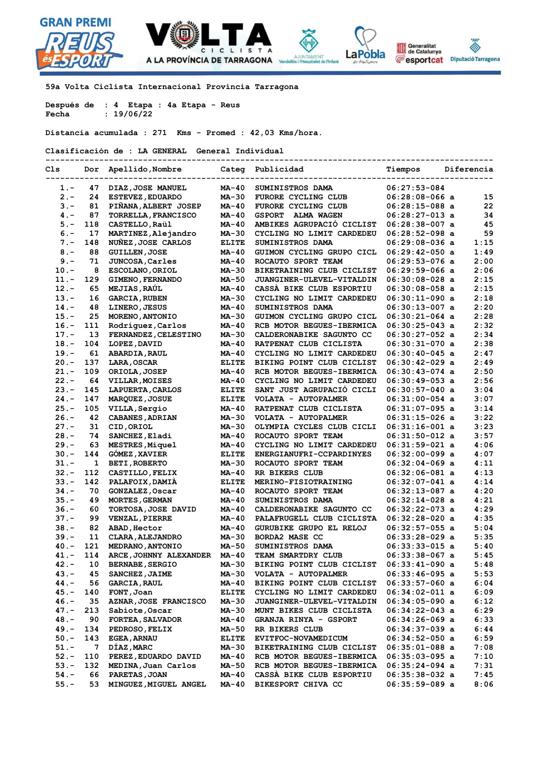



**--------------------------------------------------------------------------------------------**

**59a Volta Ciclista Internacional Provincia Tarragona** 

**Después de : 4 Etapa : 4a Etapa - Reus Fecha : 19/06/22**

**Distancia acumulada : 271 Kms - Promed : 42,03 Kms/hora.**

**Clasificación de : LA GENERAL General Individual** 

| Cls                | Dor       | Apellido, Nombre                          | Categ          | Publicidad                                        | Tiempos                            | Diferencia   |
|--------------------|-----------|-------------------------------------------|----------------|---------------------------------------------------|------------------------------------|--------------|
| 1.-                | 47        | DIAZ, JOSE MANUEL                         | MA-40          | SUMINISTROS DAMA                                  | $06:27:53-084$                     |              |
| $2 -$              | 24        | <b>ESTEVEZ, EDUARDO</b>                   | MA-30          | FURORE CYCLING CLUB                               | $06:28:08-066$ a                   | 15           |
| $3 -$              | 81        | PIÑANA, ALBERT JOSEP                      | MA-40          | FURORE CYCLING CLUB                               | $06:28:15-088$ a                   | 22           |
| $4. -$             | 87        | TORRELLA, FRANCISCO                       | MA-40          | <b>GSPORT</b><br>ALMA WAGEN                       | $06:28:27-013$ a                   | 34           |
| $5 -$              | 118       | CASTELLO, Raül                            | MA-40          | AMBIKES AGRUPACIO CICLIST                         | $06:28:38-007$ a                   | 45           |
| $6. -$             | 17        | MARTINEZ, Alejandro                       | MA-30          | CYCLING NO LIMIT CARDEDEU                         | $06:28:52-098$ a                   | 59           |
| $7 -$              | 148       | NUÑEZ, JOSE CARLOS                        | <b>ELITE</b>   | SUMINISTROS DAMA                                  | $06:29:08-036$ a                   | 1:15         |
| $8. -$             | 88        | <b>GUILLEN, JOSE</b>                      | MA-40          | GUIMON CYCLING GRUPO CICL                         | $06:29:42-050$ a                   | 1:49         |
| $9 -$              | 71        | <b>JUNCOSA, Carles</b>                    | $MA-40$        | ROCAUTO SPORT TEAM                                | $06:29:53-076$ a                   | 2:00         |
| $10. -$            | 8         | ESCOLANO, ORIOL                           | MA-30          | BIKETRAINING CLUB CICLIST                         | $06:29:59-066$ a                   | 2:06         |
| $11. -$            | 129       | <b>GIMENO, FERNANDO</b>                   | MA-50          | <b>JUANGINER-ULEVEL-VITALDIN</b>                  | $06:30:08-028$ a                   | 2:15         |
| $12 -$             | 65        | <b>MEJIAS, RAÚL</b>                       | $MA-40$        | CASSA BIKE CLUB ESPORTIU                          | $06:30:08-058$ a                   | 2:15         |
| $13 -$             | 16        | <b>GARCIA, RUBEN</b>                      | MA-30          | CYCLING NO LIMIT CARDEDEU                         | $06:30:11-090$ a                   | 2:18         |
| $14. -$            | 48        | LINERO, JESUS                             | MA-40          | SUMINISTROS DAMA                                  | $06:30:13-007$ a                   | 2:20         |
| $15. -$            | 25        | MORENO, ANTONIO                           | MA-30          | GUIMON CYCLING GRUPO CICL                         | $06:30:21-064$ a                   | 2:28         |
| $16. -$            | 111       | Rodríquez, Carlos                         | MA-40          | RCB MOTOR BEGUES-IBERMICA                         | $06:30:25-043$ a                   | 2:32         |
| $17. -$            | 13        | <b>FERNANDEZ, CELESTINO</b>               | MA-30          | CALDERONABIKE SAGUNTO CC                          | 06:30:27-052 a                     | 2:34         |
| $18. -$            | 104       | LOPEZ, DAVID                              | $MA-40$        | RATPENAT CLUB CICLISTA                            | $06:30:31-070$ a                   | 2:38         |
| $19. -$            | 61        | <b>ABARDIA, RAUL</b>                      | $MA-40$        | CYCLING NO LIMIT CARDEDEU                         | $06:30:40-045$ a                   | 2:47         |
| $20. -$            | 137       | <b>LARA, OSCAR</b>                        | <b>ELITE</b>   | BIKING POINT CLUB CICLIST                         | $06:30:42-029$ a                   | 2:49         |
| $21. -$            | 109       | <b>ORIOLA, JOSEP</b>                      | $MA-40$        | RCB MOTOR BEGUES-IBERMICA                         | $06:30:43-074$ a                   | 2:50         |
| $22 -$             | 64        | <b>VILLAR, MOISES</b>                     | MA-40          | CYCLING NO LIMIT CARDEDEU                         | $06:30:49-053$ a                   | 2:56         |
| $23 -$             | 145       | LAPUERTA, CARLOS                          | <b>ELITE</b>   | SANT JUST AGRUPACIÓ CICLI                         | $06:30:57-040$ a                   | 3:04         |
| $24. -$            | 147       | <b>MARQUEZ, JOSUE</b>                     | <b>ELITE</b>   | VOLATA - AUTOPALMER                               | $06:31:00-054$ a                   | 3:07         |
| $25. -$            | 105       | VILLA, Sergio                             | $MA-40$        | RATPENAT CLUB CICLISTA                            | $06:31:07-095$ a                   | 3:14         |
| $26. -$            | 42        | <b>CABANES, ADRIAN</b>                    | MA-30          | VOLATA - AUTOPALMER                               | $06:31:15-026$ a                   | 3:22         |
| $27. -$            | 31        | CID, ORIOL                                | MA-30          | OLYMPIA CYCLES CLUB CICLI                         | $06:31:16-001$ a                   | 3:23         |
| $28 -$             | 74        | SANCHEZ, Eladi                            | MA-40          | ROCAUTO SPORT TEAM                                | 06:31:50-012 a                     | 3:57         |
| $29. -$            | 63        | MESTRES, Miquel                           | MA-40          | CYCLING NO LIMIT CARDEDEU                         | $06:31:59-021$ a                   | 4:06         |
| $30 -$             | 144       | <b>GOMEZ, XAVIER</b>                      | <b>ELITE</b>   | ENERGIANUFRI-CCPARDINYES                          | $06:32:00-099$ a                   | 4:07         |
| $31 -$             | 1         | <b>BETI, ROBERTO</b>                      | MA-30          | ROCAUTO SPORT TEAM                                | $06:32:04-069$ a                   | 4:11         |
| $32 -$             | 112       | CASTILLO, FELIX                           | MA-40          | RR BIKERS CLUB                                    | $06:32:06-081$ a                   | 4:13         |
| $33 -$             | 142       | PALAFOIX, DAMIA                           | <b>ELITE</b>   | MERINO-FISIOTRAINING                              | $06:32:07-041$ a                   | 4:14         |
| $34. -$            | 70        | GONZALEZ, Oscar                           | MA-40          | ROCAUTO SPORT TEAM                                | $06:32:13-087$ a                   | 4:20         |
| $35. -$            | 49        | <b>MORTES, GERMAN</b>                     | MA-40          | SUMINISTROS DAMA                                  | $06:32:14-028$ a                   | 4:21         |
| $36. -$            | 60        | TORTOSA, JOSE DAVID                       | MA-40          | CALDERONABIKE SAGUNTO CC                          | $06:32:22-073$ a                   | 4:29         |
| $37. -$            | 99        | <b>VENZAL, PIERRE</b>                     | MA-40          | PALAFRUGELL CLUB CICLISTA                         | $06:32:28-020$ a                   | 4:35         |
| $38 -$             | 82        | ABAD, Hector                              | MA-40          | GURUBIKE GRUPO EL RELOJ                           | $06:32:57-055$ a                   | 5:04         |
| $39. -$            | 11        | CLARA, ALEJANDRO                          | MA-30          | <b>BORDA2 MASE CC</b>                             | $06:33:28-029$ a                   | 5:35         |
| $40. -$            | 121       | <b>MEDRANO, ANTONIO</b>                   | MA-50          | SUMINISTROS DAMA                                  | $06:33:33-015$ a                   | 5:40         |
| $41. -$            | 114       | ARCE, JOHNNY ALEXANDER                    | MA-40          | TEAM SMARTDRY CLUB                                | $06:33:38-067$ a                   | 5:45         |
| $42 -$             | 10        | <b>BERNABE, SERGIO</b>                    | MA-30          | BIKING POINT CLUB CICLIST                         | $06:33:41-090$ a                   | 5:48         |
| $43. -$            | 45        | SANCHEZ, JAIME                            | MA-30          | VOLATA - AUTOPALMER                               | $06:33:46-095$ a                   | 5:53         |
| $44. -$            | 56        | <b>GARCIA, RAUL</b>                       | MA-40          | BIKING POINT CLUB CICLIST                         | $06:33:57-060$ a                   | 6:04         |
| $45. -$<br>$46. -$ | 140       | FONT, Joan                                | <b>ELITE</b>   | CYCLING NO LIMIT CARDEDEU                         | $06:34:02-011$ a                   | 6:09         |
|                    | 35<br>213 | AZNAR, JOSE FRANCISCO                     | MA-30          | <b>JUANGINER-ULEVEL-VITALDIN</b>                  | $06:34:05-090$ a                   | 6:12         |
| 47.-<br>$48. -$    | 90        | Sabiote, Oscar<br><b>FORTEA, SALVADOR</b> | MA-30          | MUNT BIKES CLUB CICLISTA<br>GRANJA RINYA - GSPORT | $06:34:22-043$ a<br>06:34:26-069 a | 6:29<br>6:33 |
| $49. -$            | 134       | PEDROSO, FELIX                            | MA-40<br>MA-50 | RR BIKERS CLUB                                    | $06:34:37-039$ a                   | 6:44         |
| $50. -$            | 143       | <b>EGEA, ARNAU</b>                        | <b>ELITE</b>   | EVITFOC-NOVAMEDICUM                               | $06:34:52-050$ a                   | 6:59         |
| $51. -$            | 7         | DIAZ, MARC                                | MA-30          | BIKETRAINING CLUB CICLIST                         | $06:35:01-088$ a                   | 7:08         |
| $52 -$             | 110       | PEREZ, EDUARDO DAVID                      | MA-40          | RCB MOTOR BEGUES-IBERMICA                         | $06:35:03-095$ a                   | 7:10         |
| $53. -$            | 132       | MEDINA, Juan Carlos                       | MA-50          | RCB MOTOR BEGUES-IBERMICA                         | $06:35:24-094$ a                   | 7:31         |
| $54. -$            | 66        | PARETAS, JOAN                             | MA-40          | CASSA BIKE CLUB ESPORTIU                          | $06:35:38-032$ a                   | 7:45         |
| $55. -$            | 53        | MINGUEZ, MIGUEL ANGEL                     | MA-40          | BIKESPORT CHIVA CC                                | $06:35:59-089$ a                   | 8:06         |
|                    |           |                                           |                |                                                   |                                    |              |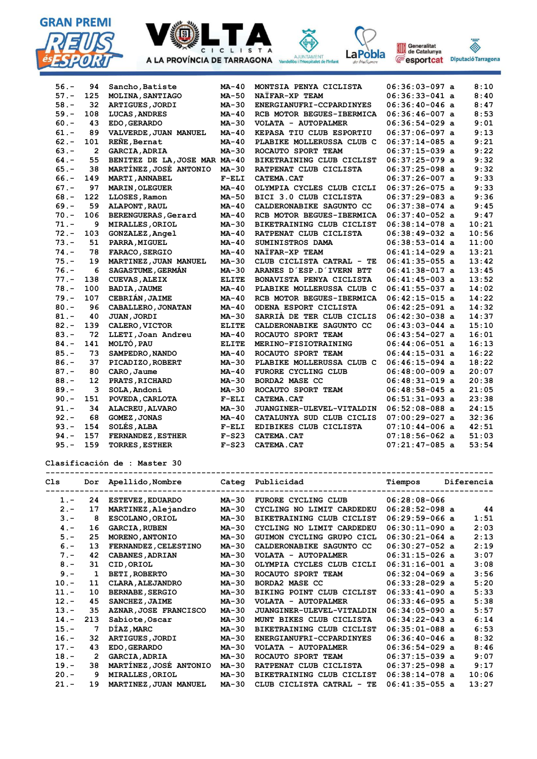





Vandellos i l'H



| $56. -$ | 94             | Sancho, Batiste               | $MA-40$      | MONTSIA PENYA CICLISTA    | $06:36:03-097$ a | 8:10  |
|---------|----------------|-------------------------------|--------------|---------------------------|------------------|-------|
| $57. -$ | 125            | MOLINA, SANTIAGO              | MA-50        | NAÏFAR-XP TEAM            | $06:36:33-041$ a | 8:40  |
| $58. -$ | 32             | <b>ARTIGUES, JORDI</b>        | $MA-30$      | ENERGIANUFRI-CCPARDINYES  | $06:36:40-046$ a | 8:47  |
| $59. -$ | 108            | LUCAS, ANDRES                 | $MA-40$      | RCB MOTOR BEGUES-IBERMICA | $06:36:46-007$ a | 8:53  |
| $60. -$ | 43             | EDO, GERARDO                  | $MA-30$      | VOLATA - AUTOPALMER       | $06:36:54-029$ a | 9:01  |
| $61. -$ | 89             | VALVERDE, JUAN MANUEL         | $MA-40$      | KEPASA TIU CLUB ESPORTIU  | $06:37:06-097$ a | 9:13  |
| $62 -$  | 101            | REÑE, Bernat                  | $MA-40$      | PLABIKE MOLLERUSSA CLUB C | $06:37:14-085$ a | 9:21  |
| $63 -$  | $\overline{2}$ | <b>GARCIA, ADRIA</b>          | MA-30        | ROCAUTO SPORT TEAM        | $06:37:15-039$ a | 9:22  |
| $64. -$ | 55             | BENITEZ DE LA, JOSE MAR MA-40 |              | BIKETRAINING CLUB CICLIST | $06:37:25-079$ a | 9:32  |
| $65. -$ | 38             | MARTINEZ, JOSÉ ANTONIO        | MA-30        | RATPENAT CLUB CICLISTA    | $06:37:25-098$ a | 9:32  |
| $66. -$ | 149            | MARTI, ANNABEL                | $F-ELI$      | <b>CATEMA.CAT</b>         | $06:37:26-007$ a | 9:33  |
| $67 -$  | 97             | <b>MARIN, OLEGUER</b>         | $MA-40$      | OLYMPIA CYCLES CLUB CICLI | $06:37:26-075$ a | 9:33  |
| $68. -$ | 122            | LLOSES, Ramon                 | MA-50        | BICI 3.0 CLUB CICLISTA    | $06:37:29-083$ a | 9:36  |
| $69. -$ | 59             | <b>ALAPONT, RAUL</b>          | $MA-40$      | CALDERONABIKE SAGUNTO CC  | $06:37:38-074$ a | 9:45  |
| $70. -$ | 106            | <b>BERENGUERAS, Gerard</b>    | $MA-40$      | RCB MOTOR BEGUES-IBERMICA | $06:37:40-052$ a | 9:47  |
| $71. -$ | 9              | <b>MIRALLES, ORIOL</b>        | $MA-30$      | BIKETRAINING CLUB CICLIST | $06:38:14-078$ a | 10:21 |
| $72. -$ | 103            | <b>GONZALEZ, Angel</b>        | $MA-40$      | RATPENAT CLUB CICLISTA    | $06:38:49-032$ a | 10:56 |
| $73 -$  | 51             | PARRA, MIGUEL                 | $MA-40$      | SUMINISTROS DAMA          | $06:38:53-014$ a | 11:00 |
| $74. -$ | 78             | FARACO, SERGIO                | $MA-40$      | NAÏFAR-XP TEAM            | $06:41:14-029$ a | 13:21 |
| $75. -$ | 19             | MARTINEZ, JUAN MANUEL         | $MA-30$      | CLUB CICLISTA CATRAL - TE | $06:41:35-055$ a | 13:42 |
| $76. -$ | 6              | <b>SAGASTUME, GERMAN</b>      | $MA-30$      | ARANES D'ESP.D'IVERN BTT  | $06:41:38-017$ a | 13:45 |
| $77. -$ | 138            | <b>CUEVAS, ALEIX</b>          | <b>ELITE</b> | BONAVISTA PENYA CICLISTA  | $06:41:45-003$ a | 13:52 |
| $78. -$ | 100            | <b>BADIA, JAUME</b>           | $MA-40$      | PLABIKE MOLLERUSSA CLUB C | $06:41:55-037$ a | 14:02 |
| $79. -$ | 107            | <b>CEBRIÁN, JAIME</b>         | $MA-40$      | RCB MOTOR BEGUES-IBERMICA | $06:42:15-015$ a | 14:22 |
| $80. -$ | 96             | CABALLERO, JONATAN            | $MA-40$      | ODENA ESPORT CICLISTA     | $06:42:25-091$ a | 14:32 |
| $81. -$ | 40             | JUAN, JORDI                   | MA-30        | SARRIA DE TER CLUB CICLIS | $06:42:30-038$ a | 14:37 |
| $82 -$  | 139            | CALERO, VICTOR                | <b>ELITE</b> | CALDERONABIKE SAGUNTO CC  | $06:43:03-044$ a | 15:10 |
| $83 -$  | 72             | LLETI, Joan Andreu            | $MA-40$      | ROCAUTO SPORT TEAM        | $06:43:54-027$ a | 16:01 |
| $84. -$ | 141            | MOLTÓ, PAU                    | <b>ELITE</b> | MERINO-FISIOTRAINING      | $06:44:06-051$ a | 16:13 |
| $85. -$ | 73             | SAMPEDRO, NANDO               | $MA-40$      | ROCAUTO SPORT TEAM        | $06:44:15-031$ a | 16:22 |
| $86. -$ | 37             | PICADIZO, ROBERT              | $MA-30$      | PLABIKE MOLLERUSSA CLUB C | $06:46:15-094$ a | 18:22 |
| $87. -$ | 80             | CARO, Jaume                   | $MA-40$      | FURORE CYCLING CLUB       | $06:48:00-009$ a | 20:07 |
| $88. -$ | 12             | PRATS, RICHARD                | $MA-30$      | <b>BORDA2 MASE CC</b>     | $06:48:31-019$ a | 20:38 |
| $89. -$ | 3              | SOLA, Andoni                  | MA-30        | ROCAUTO SPORT TEAM        | $06:48:58-045$ a | 21:05 |
| $90 -$  | 151            | POVEDA, CARLOTA               | $F-ELI$      | <b>CATEMA.CAT</b>         | $06:51:31-093$ a | 23:38 |
| $91. -$ | 34             | ALACREU, ALVARO               | MA-30        | JUANGINER-ULEVEL-VITALDIN | $06:52:08-088$ a | 24:15 |
| $92 -$  | 68             | <b>GOMEZ, JONAS</b>           | $MA-40$      | CATALUNYA SUD CLUB CICLIS | $07:00:29-027$ a | 32:36 |
| $93 -$  | 154            | SOLÉS, ALBA                   | $F-ELI$      | EDIBIKES CLUB CICLISTA    | $07:10:44-006$ a | 42:51 |
| $94. -$ | 157            | <b>FERNANDEZ, ESTHER</b>      | $F-S23$      | CATEMA.CAT                | $07:18:56-062$ a | 51:03 |
| $95. -$ | 159            | <b>TORRES, ESTHER</b>         | $F-S23$      | CATEMA.CAT                | $07:21:47-085$ a | 53:54 |

**Clasificación de : Master 30**

**-------------------------------------------------------------------------------------------- Cls Dor Apellido,Nombre Categ Publicidad Tiempos Diferencia -------------------------------------------------------------------------------------------- 1.- 24 ESTEVEZ,EDUARDO MA-30 FURORE CYCLING CLUB 06:28:08-066 2.- 17 MARTINEZ,Alejandro MA-30 CYCLING NO LIMIT CARDEDEU 06:28:52-098 a 44 3.- 8 ESCOLANO,ORIOL MA-30 BIKETRAINING CLUB CICLIST 06:29:59-066 a 1:51** 1.5. 6 ESCOLARO, ORTOL 1.4 50 BIRETRATINING CHOB CICLIST 00.25.35 000 a 2:03<br> **1.** 16 GARCIA, RUBEN MA-30 CYCLING NO LIMIT CARDEDEU 06:30:11-090 a 2:03<br>
5. - 25 MORENO. ANTONIO MA-30 GUIMON CYCLING GRUPO CICL 06:30:21-064  **5.- 25 MORENO,ANTONIO MA-30 GUIMON CYCLING GRUPO CICL 06:30:21-064 a 2:13 6.- 13 FERNANDEZ,CELESTINO MA-30 CALDERONABIKE SAGUNTO CC 06:30:27-052 a 2:19 7.- 42 CABANES,ADRIAN MA-30 VOLATA - AUTOPALMER 06:31:15-026 a 3:07 8.- 31 CID,ORIOL MA-30 OLYMPIA CYCLES CLUB CICLI 06:31:16-001 a 3:08 9.- 1 BETI,ROBERTO MA-30 ROCAUTO SPORT TEAM 06:32:04-069 a 3:56 10.- 11 CLARA,ALEJANDRO MA-30 BORDA2 MASE CC 06:33:28-029 a 5:20 11.- 10 BERNABE,SERGIO MA-30 BIKING POINT CLUB CICLIST 06:33:41-090 a 5:33 12.- 45 SANCHEZ,JAIME MA-30 VOLATA - AUTOPALMER 06:33:46-095 a 5:38 13.- 35 AZNAR,JOSE FRANCISCO MA-30 JUANGINER-ULEVEL-VITALDIN 06:34:05-090 a 5:57 14.- 213 Sabiote,Oscar MA-30 MUNT BIKES CLUB CICLISTA 06:34:22-043 a 6:14 15.- 7 DÍAZ,MARC MA-30 BIKETRAINING CLUB CICLIST 06:35:01-088 a 6:53 16.- 32 ARTIGUES,JORDI MA-30 ENERGIANUFRI-CCPARDINYES 06:36:40-046 a 8:32 17.- 43 EDO,GERARDO MA-30 VOLATA - AUTOPALMER 06:36:54-029 a 8:46 18.- 2 GARCIA,ADRIA MA-30 ROCAUTO SPORT TEAM 06:37:15-039 a 9:07 19.- 38 MARTÍNEZ,JOSÉ ANTONIO MA-30 RATPENAT CLUB CICLISTA 06:37:25-098 a 9:17 20.- 9 MIRALLES,ORIOL MA-30 BIKETRAINING CLUB CICLIST 06:38:14-078 a 10:06 21.- 19 MARTINEZ,JUAN MANUEL MA-30 CLUB CICLISTA CATRAL - TE 06:41:35-055 a 13:27**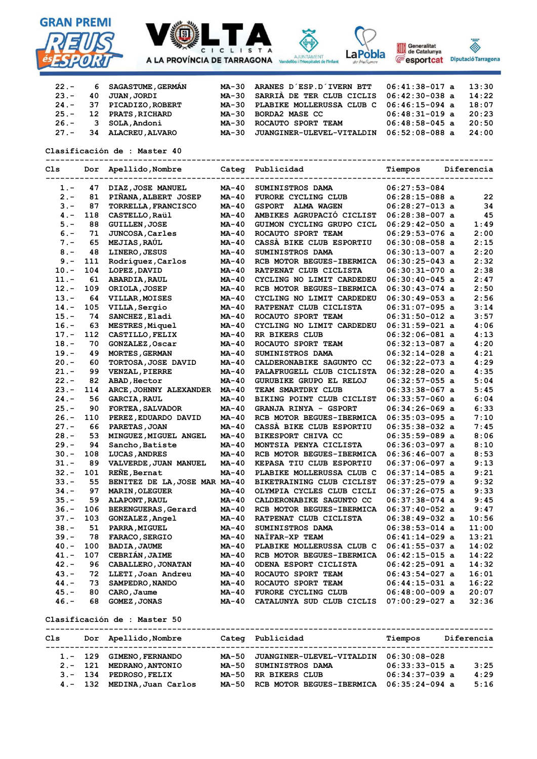







| Tarrago<br>o |  |
|--------------|--|

| $22 -$  |    | 6 SAGASTUME, GERMAN     |       | MA-30 ARANES D'ESP.D'IVERN BTT                 | $06:41:38-017$ a | 13:30 |
|---------|----|-------------------------|-------|------------------------------------------------|------------------|-------|
| $23 -$  | 40 | <b>JUAN, JORDI</b>      |       | MA-30 SARRIÀ DE TER CLUB CICLIS 06:42:30-038 a |                  | 14:22 |
| $24. -$ | 37 | PICADIZO, ROBERT        |       | MA-30 PLABIKE MOLLERUSSA CLUB C                | $06:46:15-094$ a | 18:07 |
| $25. -$ | 12 | <b>PRATS, RICHARD</b>   |       | MA-30 BORDA2 MASE CC                           | $06:48:31-019$ a | 20:23 |
| $26. -$ | 3  | SOLA, Andoni            | MA-30 | ROCAUTO SPORT TEAM                             | $06:48:58-045$ a | 20:50 |
| $27. -$ | 34 | <b>ALACREU , ALVARO</b> | MA-30 | JUANGINER-ULEVEL-VITALDIN                      | $06:52:08-088$ a | 24:00 |

## **Clasificación de : Master 40**

**-------------------------------------------------------------------------------------------- Cls Dor Apellido,Nombre Categ Publicidad Tiempos Diferencia -------------------------------------------------------------------------------------------- 1.- 47 DIAZ,JOSE MANUEL MA-40 SUMINISTROS DAMA 06:27:53-084 2.- 81 PIÑANA,ALBERT JOSEP MA-40 FURORE CYCLING CLUB 06:28:15-088 a 22 3.- 87 TORRELLA,FRANCISCO MA-40 GSPORT ALMA WAGEN 06:28:27-013 a 34 4.- 118 CASTELLO,Raül MA-40 AMBIKES AGRUPACIÓ CICLIST 06:28:38-007 a 45 5.- 88 GUILLEN,JOSE MA-40 GUIMON CYCLING GRUPO CICL 06:29:42-050 a 1:49 6.- 71 JUNCOSA,Carles MA-40 ROCAUTO SPORT TEAM 06:29:53-076 a 2:00 7.- 65 MEJIAS,RAÚL MA-40 CASSÀ BIKE CLUB ESPORTIU 06:30:08-058 a 2:15 8.- 48 LINERO,JESUS MA-40 SUMINISTROS DAMA 06:30:13-007 a 2:20 MA-40 RCB MOTOR BEGUES-IBERMICA 06:30:25-043 a 10.- 104 LOPEZ,DAVID MA-40 RATPENAT CLUB CICLISTA 06:30:31-070 a 2:38 11.- 61 ABARDIA,RAUL MA-40 CYCLING NO LIMIT CARDEDEU 06:30:40-045 a 2:47 12.- 109 ORIOLA,JOSEP MA-40 RCB MOTOR BEGUES-IBERMICA 06:30:43-074 a 2:50 13.- 64 VILLAR,MOISES MA-40 CYCLING NO LIMIT CARDEDEU 06:30:49-053 a 2:56 14.-40 CICLING NG 21.1-1 CICLISTA** 06:31:07-095 a 3:14<br>MA-40 RATPENAT CLUB CICLISTA 06:31:07-095 a 3:14  **15.- 74 SANCHEZ,Eladi MA-40 ROCAUTO SPORT TEAM 06:31:50-012 a 3:57 16.- 63 MESTRES,Miquel MA-40 CYCLING NO LIMIT CARDEDEU 06:31:59-021 a 4:06 17.- 112 CASTILLO,FELIX MA-40 RR BIKERS CLUB 06:32:06-081 a 4:13 18.- 70 GONZALEZ,Oscar MA-40 ROCAUTO SPORT TEAM 06:32:13-087 a 4:20 19.- 49 MORTES,GERMAN MA-40 SUMINISTROS DAMA 06:32:14-028 a 4:21 20.- 60 TORTOSA,JOSE DAVID MA-40 CALDERONABIKE SAGUNTO CC 06:32:22-073 a 4:29 21.- 99 VENZAL,PIERRE MA-40 PALAFRUGELL CLUB CICLISTA 06:32:28-020 a 4:35 22.- 82 ABAD,Hector MA-40 GURUBIKE GRUPO EL RELOJ 06:32:57-055 a 5:04 23.- 114 ARCE,JOHNNY ALEXANDER MA-40 TEAM SMARTDRY CLUB 06:33:38-067 a 5:45**<br>**24.- 56 GARCIA, RAUL MA-40 BIKING POINT CLUB CICLIST 06:33:57-060 a 6:04**<br>**25.- 90 FORTEA, SALVADOR MA-40 GRANJA RINYA - GSPORT 06:34:26-069 a 24.- 56 GARCIA,RAUL MA-40 BIKING POINT CLUB CICLIST 06:33:57-060 a 6:04 MA-40 GRANJA RINYA - GSPORT** 06:34:26-069 a 6:33  **26.- 110 PEREZ,EDUARDO DAVID MA-40 RCB MOTOR BEGUES-IBERMICA 06:35:03-095 a 7:10 27.- 66 PARETAS,JOAN MA-40 CASSÀ BIKE CLUB ESPORTIU 06:35:38-032 a 7:45 28.- 53 MINGUEZ,MIGUEL ANGEL MA-40 BIKESPORT CHIVA CC 06:35:59-089 a 8:06 29.- 94 Sancho,Batiste MA-40 MONTSIA PENYA CICLISTA 06:36:03-097 a 8:10 MA-40 RCB MOTOR BEGUES-IBERMICA 06:36:46-007 a 8:53 31.- 89 VALVERDE,JUAN MANUEL MA-40 KEPASA TIU CLUB ESPORTIU 06:37:06-097 a 9:13 32.- 101 REÑE,Bernat MA-40 PLABIKE MOLLERUSSA CLUB C 06:37:14-085 a 9:21 33.- 55 BENITEZ DE LA,JOSE MAR MA-40 BIKETRAINING CLUB CICLIST 06:37:25-079 a 9:32 34.- 97 MARIN,OLEGUER MA-40 OLYMPIA CYCLES CLUB CICLI 06:37:26-075 a 9:33 35.- 59 ALAPONT,RAUL MA-40 CALDERONABIKE SAGUNTO CC 06:37:38-074 a 9:45 MA-40 RCB MOTOR BEGUES-IBERMICA 06:37:40-052 a 9:47 37.- 103 GONZALEZ,Angel MA-40 RATPENAT CLUB CICLISTA 06:38:49-032 a 10:56 38.- 51 PARRA,MIGUEL MA-40 SUMINISTROS DAMA 06:38:53-014 a 11:00 39.- 78 FARACO,SERGIO MA-40 NAÏFAR-XP TEAM 06:41:14-029 a 13:21 40.- 100 BADIA,JAUME MA-40 PLABIKE MOLLERUSSA CLUB C 06:41:55-037 a 14:02 MA-40 RCB MOTOR BEGUES-IBERMICA 06:42:15-015 a 14:22 42.- 96 CABALLERO,JONATAN MA-40 ODENA ESPORT CICLISTA 06:42:25-091 a 14:32 43.- 72 LLETI,Joan Andreu MA-40 ROCAUTO SPORT TEAM 06:43:54-027 a 16:01 44.- 73 SAMPEDRO,NANDO MA-40 ROCAUTO SPORT TEAM 06:44:15-031 a 16:22 45.- 80 CARO,Jaume MA-40 FURORE CYCLING CLUB 06:48:00-009 a 20:07 46.- 68 GOMEZ,JONAS MA-40 CATALUNYA SUD CLUB CICLIS 07:00:29-027 a 32:36**

**Clasificación de : Master 50**

| Cls |                                      | Dor Apellido, Nombre                                                                                |                                  | Categ Publicidad                                                                                           | Tiempos                                                                    | Diferencia |                      |
|-----|--------------------------------------|-----------------------------------------------------------------------------------------------------|----------------------------------|------------------------------------------------------------------------------------------------------------|----------------------------------------------------------------------------|------------|----------------------|
|     | $2. - 121$<br>$3 - 134$<br>$4 - 132$ | 1.- 129 GIMENO, FERNANDO<br><b>MEDRANO, ANTONIO</b><br><b>PEDROSO, FELIX</b><br>MEDINA, Juan Carlos | MA-50<br>MA-50<br>MA-50<br>MA-50 | <b>JUANGINER-ULEVEL-VITALDIN</b><br><b>SUMINISTROS DAMA</b><br>RR BIKERS CLUB<br>RCB MOTOR BEGUES-IBERMICA | $06:30:08-028$<br>$06:33:33-015$ a<br>$06:34:37-039$ a<br>$06:35:24-094$ a |            | 3:25<br>4:29<br>5:16 |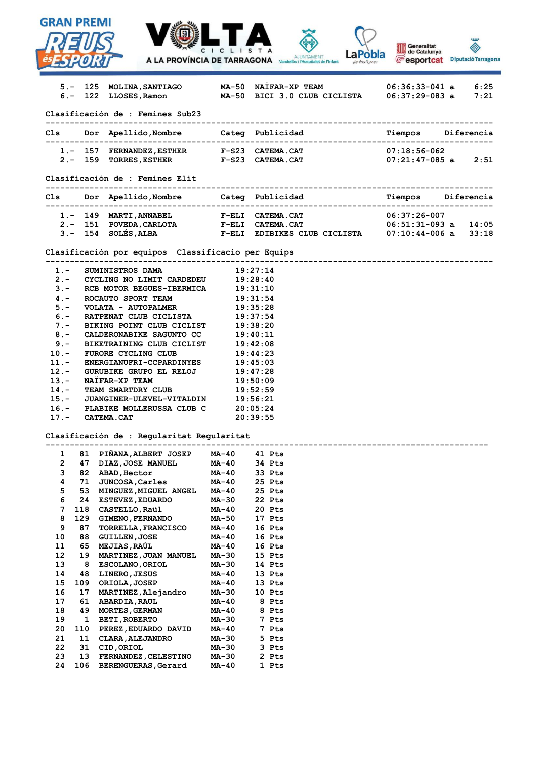| <b>GRAN PREMI</b>       |           |                                                                                       |                     |                      |                         |                                      |                                        |                |
|-------------------------|-----------|---------------------------------------------------------------------------------------|---------------------|----------------------|-------------------------|--------------------------------------|----------------------------------------|----------------|
|                         |           |                                                                                       | CICLIST             |                      |                         | aPobla                               | Generalitat<br>de Catalunya            | <b>SALES</b>   |
|                         |           | <b>A LA PROVÍNCIA DE TARRAGONA</b> Vandellòs i l'Hospitalet de l'Infant               |                     |                      |                         |                                      | <b>E</b> esportcat Diputació Tarragona |                |
|                         |           |                                                                                       |                     |                      |                         |                                      |                                        |                |
|                         |           | 5.- 125 MOLINA,SANTIAGO<br>6.- 122 LLOSES, Ramon                                      |                     |                      | MA-50 NAÏFAR-XP TEAM    | MA-50 BICI 3.0 CLUB CICLISTA         | $06:36:33-041$ a<br>$06:37:29-083$ a   | 6:25<br>7:21   |
|                         |           |                                                                                       |                     |                      |                         |                                      |                                        |                |
|                         |           | Clasificación de : Femines Sub23                                                      |                     |                      |                         | ----------------------------------   |                                        |                |
|                         |           | Cls Dor Apellido, Nombre Categ Publicidad                                             |                     |                      |                         |                                      | Tiempos Diferencia                     |                |
|                         |           |                                                                                       |                     |                      |                         |                                      |                                        |                |
|                         |           | 1.- 157 FERNANDEZ, ESTHER F-S23 CATEMA.CAT<br>2.- 159 TORRES, ESTHER F-S23 CATEMA.CAT |                     |                      |                         |                                      | $07:18:56-062$                         |                |
|                         |           |                                                                                       |                     |                      |                         |                                      | $07:21:47-085$ a 2:51                  |                |
|                         |           | Clasificación de : Femines Elit                                                       |                     |                      |                         |                                      |                                        |                |
|                         |           | Cls Dor Apellido, Nombre Categ Publicidad                                             | ------------------- |                      |                         | ------------------------------------ | Tiempos Diferencia                     |                |
|                         |           |                                                                                       |                     |                      |                         |                                      |                                        |                |
|                         |           | 1.- 149 MARTI, ANNABEL                                                                |                     |                      | <b>F-ELI CATEMA.CAT</b> |                                      | $06:37:26-007$                         |                |
|                         |           | 2.- 151 POVEDA, CARLOTA F-ELI CATEMA. CAT                                             |                     |                      |                         |                                      | $06:51:31-093$ a                       | 14:05<br>33:18 |
|                         |           | 3.- 154 SOLÉS, ALBA     F-ELI EDIBIKES CLUB CICLISTA                                  |                     |                      |                         |                                      | $07:10:44-006$ a                       |                |
|                         |           | Clasificación por equipos Classificacio per Equips                                    |                     |                      |                         |                                      |                                        |                |
| $1 -$                   |           | SUMINISTROS DAMA                                                                      |                     | 19:27:14             |                         |                                      |                                        |                |
| $2 -$                   |           | CYCLING NO LIMIT CARDEDEU                                                             |                     | 19:28:40             |                         |                                      |                                        |                |
| $3 -$                   |           | RCB MOTOR BEGUES-IBERMICA                                                             |                     | 19:31:10             |                         |                                      |                                        |                |
| $4 -$                   |           | ROCAUTO SPORT TEAM                                                                    |                     | 19:31:54             |                         |                                      |                                        |                |
| $5 -$<br>$6 -$          |           | VOLATA - AUTOPALMER<br>RATPENAT CLUB CICLISTA                                         |                     | 19:35:28<br>19:37:54 |                         |                                      |                                        |                |
| $7 -$                   |           | BIKING POINT CLUB CICLIST                                                             |                     | 19:38:20             |                         |                                      |                                        |                |
| $8 -$                   |           | CALDERONABIKE SAGUNTO CC                                                              |                     | 19:40:11             |                         |                                      |                                        |                |
| $9 -$                   |           | BIKETRAINING CLUB CICLIST                                                             |                     | 19:42:08             |                         |                                      |                                        |                |
| $10. -$<br>$11. -$      |           | FURORE CYCLING CLUB<br><b>ENERGIANUFRI-CCPARDINYES</b>                                |                     | 19:44:23<br>19:45:03 |                         |                                      |                                        |                |
| $12 -$                  |           | GURUBIKE GRUPO EL RELOJ                                                               |                     | 19:47:28             |                         |                                      |                                        |                |
| $13 -$                  |           | NAIFAR-XP TEAM                                                                        |                     | 19:50:09             |                         |                                      |                                        |                |
| $14. -$                 |           | TEAM SMARTDRY CLUB                                                                    |                     | 19:52:59             |                         |                                      |                                        |                |
| $15. -$<br>$16. -$      |           | JUANGINER-ULEVEL-VITALDIN<br>PLABIKE MOLLERUSSA CLUB C                                |                     | 19:56:21<br>20:05:24 |                         |                                      |                                        |                |
| $17 -$                  |           | <b>CATEMA.CAT</b>                                                                     |                     | 20:39:55             |                         |                                      |                                        |                |
|                         |           |                                                                                       |                     |                      |                         |                                      |                                        |                |
|                         |           | Clasificación de : Regularitat Regularitat                                            |                     |                      |                         |                                      |                                        |                |
| 1                       | 81        | PIÑANA, ALBERT JOSEP                                                                  | <b>MA-40</b>        |                      | 41 Pts                  |                                      |                                        |                |
| $\overline{\mathbf{c}}$ | 47        | DIAZ, JOSE MANUEL                                                                     | MA-40               |                      | 34 Pts                  |                                      |                                        |                |
| 3                       | 82        | ABAD, Hector                                                                          | MA-40               |                      | 33 Pts                  |                                      |                                        |                |
| 4<br>5                  | 71<br>53  | JUNCOSA, Carles<br>MINGUEZ, MIGUEL ANGEL                                              | MA-40<br>MA-40      |                      | 25 Pts<br>25 Pts        |                                      |                                        |                |
| 6                       | 24        | <b>ESTEVEZ, EDUARDO</b>                                                               | MA-30               |                      | 22 Pts                  |                                      |                                        |                |
| 7                       | 118       | CASTELLO, Raül                                                                        | MA-40               |                      | 20 Pts                  |                                      |                                        |                |
| 8                       | 129       | <b>GIMENO, FERNANDO</b>                                                               | MA-50               |                      | 17 Pts                  |                                      |                                        |                |
| 9<br>10                 | 87<br>88  | <b>TORRELLA, FRANCISCO</b><br><b>GUILLEN, JOSE</b>                                    | MA-40<br>MA-40      |                      | 16 Pts<br>16 Pts        |                                      |                                        |                |
| 11                      | 65        | <b>MEJIAS, RAÚL</b>                                                                   | MA-40               |                      | 16 Pts                  |                                      |                                        |                |
| 12                      | 19        | MARTINEZ, JUAN MANUEL                                                                 | MA-30               |                      | 15 Pts                  |                                      |                                        |                |
| 13                      | 8         | ESCOLANO, ORIOL                                                                       | MA-30               |                      | 14 Pts                  |                                      |                                        |                |
| 14<br>15                | 48<br>109 | LINERO, JESUS<br>ORIOLA, JOSEP                                                        | MA-40<br>MA-40      |                      | 13 Pts<br>13 Pts        |                                      |                                        |                |
| 16                      | 17        | MARTINEZ, Alejandro                                                                   | MA-30               |                      | 10 Pts                  |                                      |                                        |                |
| 17                      | 61        | <b>ABARDIA, RAUL</b>                                                                  | MA-40               |                      | 8 Pts                   |                                      |                                        |                |
| 18                      | 49        | <b>MORTES, GERMAN</b>                                                                 | MA-40               |                      | 8 Pts                   |                                      |                                        |                |
| 19<br>20                | 1<br>110  | <b>BETI, ROBERTO</b><br>PEREZ, EDUARDO DAVID                                          | MA-30<br>MA-40      |                      | 7 Pts<br>7 Pts          |                                      |                                        |                |
| 21                      | 11        | <b>CLARA, ALEJANDRO</b>                                                               | MA-30               |                      | 5 Pts                   |                                      |                                        |                |
| 22                      | 31        | CID, ORIOL                                                                            | MA-30               |                      | 3 Pts                   |                                      |                                        |                |

 **23 13 FERNANDEZ,CELESTINO MA-30 2 Pts 24 106 BERENGUERAS,Gerard MA-40 1 Pts**